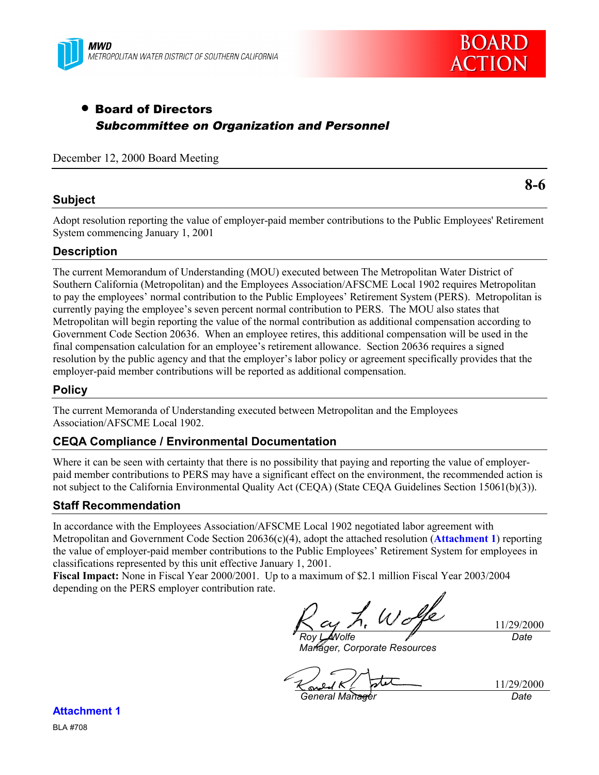



# • Board of Directors Subcommittee on Organization and Personnel

December 12, 2000 Board Meeting

### **Subject**

**8-6**

Adopt resolution reporting the value of employer-paid member contributions to the Public Employees' Retirement System commencing January 1, 2001

## **Description**

The current Memorandum of Understanding (MOU) executed between The Metropolitan Water District of Southern California (Metropolitan) and the Employees Association/AFSCME Local 1902 requires Metropolitan to pay the employees' normal contribution to the Public Employees' Retirement System (PERS). Metropolitan is currently paying the employee's seven percent normal contribution to PERS. The MOU also states that Metropolitan will begin reporting the value of the normal contribution as additional compensation according to Government Code Section 20636. When an employee retires, this additional compensation will be used in the final compensation calculation for an employee's retirement allowance. Section 20636 requires a signed resolution by the public agency and that the employer's labor policy or agreement specifically provides that the employer-paid member contributions will be reported as additional compensation.

#### **Policy**

The current Memoranda of Understanding executed between Metropolitan and the Employees Association/AFSCME Local 1902.

#### **CEQA Compliance / Environmental Documentation**

Where it can be seen with certainty that there is no possibility that paying and reporting the value of employerpaid member contributions to PERS may have a significant effect on the environment, the recommended action is not subject to the California Environmental Quality Act (CEQA) (State CEQA Guidelines Section 15061(b)(3)).

#### **Staff Recommendation**

In accordance with the Employees Association/AFSCME Local 1902 negotiated labor agreement with Metropolitan and Government Code Section 20636(c)(4), adopt the attached resolution (**Attachment 1**) reporting the value of employer-paid member contributions to the Public Employees' Retirement System for employees in classifications represented by this unit effective January 1, 2001.

**Fiscal Impact:** None in Fiscal Year 2000/2001. Up to a maximum of \$2.1 million Fiscal Year 2003/2004 depending on the PERS employer contribution rate.

*Roy L. Wolfe*

11/29/2000 *Date*

*Manager, Corporate Resources*

त्र *General Manager Date*

11/29/2000

**Attachment 1** BLA #708